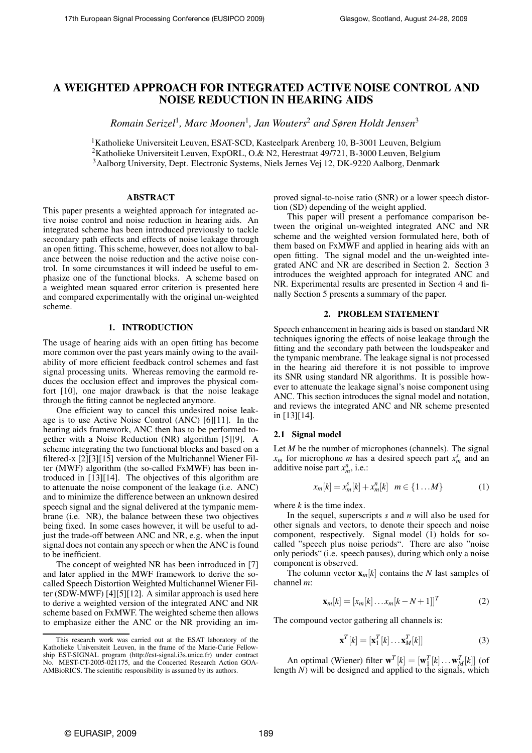# **A WEIGHTED APPROACH FOR INTEGRATED ACTIVE NOISE CONTROL AND NOISE REDUCTION IN HEARING AIDS**

*Romain Serizel*<sup>1</sup> *, Marc Moonen*<sup>1</sup> *, Jan Wouters*<sup>2</sup> *and Søren Holdt Jensen*<sup>3</sup>

<sup>1</sup>Katholieke Universiteit Leuven, ESAT-SCD, Kasteelpark Arenberg 10, B-3001 Leuven, Belgium <sup>2</sup>Katholieke Universiteit Leuven, ExpORL, O.& N2, Herestraat 49/721, B-3000 Leuven, Belgium <sup>3</sup>Aalborg University, Dept. Electronic Systems, Niels Jernes Vej 12, DK-9220 Aalborg, Denmark

## **ABSTRACT**

This paper presents a weighted approach for integrated active noise control and noise reduction in hearing aids. An integrated scheme has been introduced previously to tackle secondary path effects and effects of noise leakage through an open fitting. This scheme, however, does not allow to balance between the noise reduction and the active noise control. In some circumstances it will indeed be useful to emphasize one of the functional blocks. A scheme based on a weighted mean squared error criterion is presented here and compared experimentally with the original un-weighted scheme.

#### **1. INTRODUCTION**

The usage of hearing aids with an open fitting has become more common over the past years mainly owing to the availability of more efficient feedback control schemes and fast signal processing units. Whereas removing the earmold reduces the occlusion effect and improves the physical comfort [10], one major drawback is that the noise leakage through the fitting cannot be neglected anymore.

One efficient way to cancel this undesired noise leakage is to use Active Noise Control (ANC) [6][11]. In the hearing aids framework, ANC then has to be performed together with a Noise Reduction (NR) algorithm [5][9]. A scheme integrating the two functional blocks and based on a filtered-x [2][3][15] version of the Multichannel Wiener Filter (MWF) algorithm (the so-called FxMWF) has been introduced in [13][14]. The objectives of this algorithm are to attenuate the noise component of the leakage (i.e. ANC) and to minimize the difference between an unknown desired speech signal and the signal delivered at the tympanic membrane (i.e. NR), the balance between these two objectives being fixed. In some cases however, it will be useful to adjust the trade-off between ANC and NR, e.g. when the input signal does not contain any speech or when the ANC is found to be inefficient.

The concept of weighted NR has been introduced in [7] and later applied in the MWF framework to derive the socalled Speech Distortion Weighted Multichannel Wiener Filter (SDW-MWF) [4][5][12]. A similar approach is used here to derive a weighted version of the integrated ANC and NR scheme based on FxMWF. The weighted scheme then allows to emphasize either the ANC or the NR providing an improved signal-to-noise ratio (SNR) or a lower speech distortion (SD) depending of the weight applied.

This paper will present a perfomance comparison between the original un-weighted integrated ANC and NR scheme and the weighted version formulated here, both of them based on FxMWF and applied in hearing aids with an open fitting. The signal model and the un-weighted integrated ANC and NR are described in Section 2. Section 3 introduces the weighted approach for integrated ANC and NR. Experimental results are presented in Section 4 and finally Section 5 presents a summary of the paper.

## **2. PROBLEM STATEMENT**

Speech enhancement in hearing aids is based on standard NR techniques ignoring the effects of noise leakage through the fitting and the secondary path between the loudspeaker and the tympanic membrane. The leakage signal is not processed in the hearing aid therefore it is not possible to improve its SNR using standard NR algorithms. It is possible however to attenuate the leakage signal's noise component using ANC. This section introduces the signal model and notation, and reviews the integrated ANC and NR scheme presented in [13][14].

## **2.1 Signal model**

Let *M* be the number of microphones (channels). The signal  $x_m$  for microphone *m* has a desired speech part  $x_m^s$  and an additive noise part  $x_m^n$ , i.e.:

$$
x_m[k] = x_m^s[k] + x_m^n[k] \quad m \in \{1...M\}
$$
 (1)

where *k* is the time index.

In the sequel, superscripts *s* and *n* will also be used for other signals and vectors, to denote their speech and noise component, respectively. Signal model  $(1)$  holds for socalled "speech plus noise periods". There are also "noise only periods" (i.e. speech pauses), during which only a noise component is observed.

The column vector  $\mathbf{x}_m[k]$  contains the *N* last samples of channel *m*:

$$
\mathbf{x}_{m}[k] = [x_{m}[k] \dots x_{m}[k-N+1]]^{T}
$$
 (2)

The compound vector gathering all channels is:

$$
\mathbf{x}^T[k] = [\mathbf{x}_1^T[k] \dots \mathbf{x}_M^T[k]] \tag{3}
$$

An optimal (Wiener) filter  $\mathbf{w}^T[k] = [\mathbf{w}_1^T[k] \dots \mathbf{w}_M^T[k]]$  (of length *N*) will be designed and applied to the signals, which

This research work was carried out at the ESAT laboratory of the Katholieke Universiteit Leuven, in the frame of the Marie-Curie Fellowship EST-SIGNAL program (http://est-signal.i3s.unice.fr) under contract No. MEST-CT-2005-021175, and the Concerted Research Action GOA-AMBioRICS. The scientific responsibility is assumed by its authors.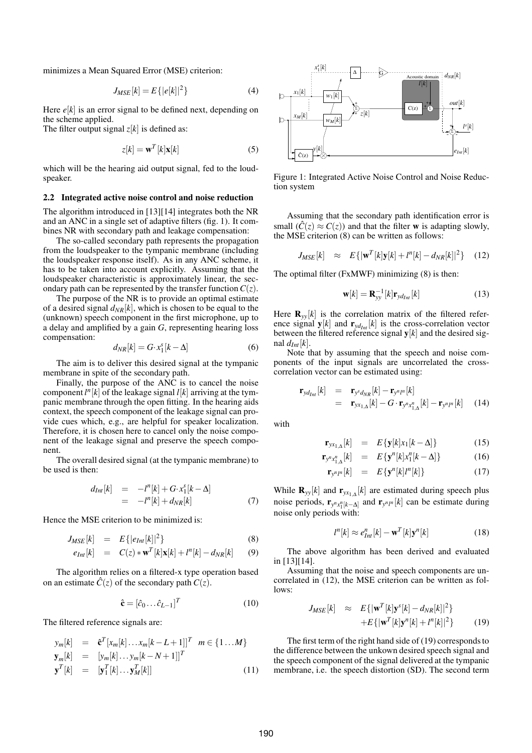minimizes a Mean Squared Error (MSE) criterion:

$$
J_{MSE}[k] = E\{|e[k]|^2\} \tag{4}
$$

Here  $e[k]$  is an error signal to be defined next, depending on the scheme applied.

The filter output signal  $z[k]$  is defined as:

$$
z[k] = \mathbf{w}^T[k]\mathbf{x}[k] \tag{5}
$$

which will be the hearing aid output signal, fed to the loudspeaker.

#### **2.2 Integrated active noise control and noise reduction**

The algorithm introduced in [13][14] integrates both the NR and an ANC in a single set of adaptive filters (fig. 1). It combines NR with secondary path and leakage compensation:

The so-called secondary path represents the propagation from the loudspeaker to the tympanic membrane (including the loudspeaker response itself). As in any ANC scheme, it has to be taken into account explicitly. Assuming that the loudspeaker characteristic is approximately linear, the secondary path can be represented by the transfer function  $C(z)$ .

The purpose of the NR is to provide an optimal estimate of a desired signal  $d_{NR}[k]$ , which is chosen to be equal to the (unknown) speech component in the first microphone, up to a delay and amplified by a gain *G*, representing hearing loss compensation:

$$
d_{NR}[k] = G \cdot x_1^s[k - \Delta] \tag{6}
$$

The aim is to deliver this desired signal at the tympanic membrane in spite of the secondary path.

Finally, the purpose of the ANC is to cancel the noise component  $l^n[k]$  of the leakage signal  $l[k]$  arriving at the tympanic membrane through the open fitting. In the hearing aids context, the speech component of the leakage signal can provide cues which, e.g., are helpful for speaker localization. Therefore, it is chosen here to cancel only the noise component of the leakage signal and preserve the speech component.

The overall desired signal (at the tympanic membrane) to be used is then:

$$
d_{Int}[k] = -l^{n}[k] + G \cdot x_{1}^{s}[k-\Delta]
$$
  
= 
$$
-l^{n}[k] + d_{NR}[k]
$$
 (7)

Hence the MSE criterion to be minimized is:

$$
J_{MSE}[k] = E\{|e_{Int}[k]|^2\}
$$
\n(8)

$$
e_{Int}[k] = C(z) * \mathbf{w}^T[k] \mathbf{x}[k] + l^n[k] - d_{NR}[k] \qquad (9)
$$

The algorithm relies on a filtered-x type operation based on an estimate  $\hat{C}(z)$  of the secondary path  $C(z)$ .

$$
\hat{\mathbf{c}} = [\hat{c}_0 \dots \hat{c}_{L-1}]^T \tag{1}
$$

The filtered reference signals are:

$$
y_m[k] = \hat{\mathbf{c}}^T [x_m[k] \dots x_m[k-L+1]]^T \quad m \in \{1 \dots M\}
$$
  
\n
$$
\mathbf{y}_m[k] = [y_m[k] \dots y_m[k-N+1]]^T
$$
  
\n
$$
\mathbf{y}^T[k] = [\mathbf{y}_1^T[k] \dots \mathbf{y}_M^T[k]] \tag{11}
$$



Figure 1: Integrated Active Noise Control and Noise Reduction system

Assuming that the secondary path identification error is small  $(\hat{C}(z) \approx C(z))$  and that the filter **w** is adapting slowly, the MSE criterion (8) can be written as follows:

$$
J_{MSE}[k] \approx E\{|\mathbf{w}^{T}[k]\mathbf{y}[k] + l^{n}[k] - d_{NR}[k]|^{2}\} \quad (12)
$$

The optimal filter (FxMWF) minimizing (8) is then:

$$
\mathbf{w}[k] = \mathbf{R}_{yy}^{-1}[k]\mathbf{r}_{yd_{Int}}[k] \tag{13}
$$

Here  $\mathbf{R}_{yy}[k]$  is the correlation matrix of the filtered reference signal  $\mathbf{y}[k]$  and  $\mathbf{r}_{\nu d_{Im}}[k]$  is the cross-correlation vector between the filtered reference signal **y**[*k*] and the desired signal  $d_{Int}[k]$ .

Note that by assuming that the speech and noise components of the input signals are uncorrelated the crosscorrelation vector can be estimated using:

$$
\mathbf{r}_{y d_{Int}}[k] = \mathbf{r}_{y^s d_{NR}}[k] - \mathbf{r}_{y^n l^n}[k] \n= \mathbf{r}_{y x_{1,\Delta}}[k] - G \cdot \mathbf{r}_{y^n x_{1,\Delta}^n}[k] - \mathbf{r}_{y^n l^n}[k] \quad (14)
$$

with

$$
\mathbf{r}_{yx_{1,\Delta}}[k] = E\{\mathbf{y}[k]x_1[k-\Delta]\} \tag{15}
$$

$$
\mathbf{r}_{y^n x_{1,\Delta}^n}[k] = E\{\mathbf{y}^n[k]x_1^n[k-\Delta]\} \tag{16}
$$

$$
\mathbf{r}_{y^{n}l^{n}}[k] = E\{\mathbf{y}^{n}[k]l^{n}[k]\} \qquad (17)
$$

While  $\mathbf{R}_{yy}[k]$  and  $\mathbf{r}_{yx_1,\Delta}[k]$  are estimated during speech plus noise periods,  $\mathbf{r}_{y^n x_1^n[k-\Delta]}$  and  $\mathbf{r}_{y^n l^n}[k]$  can be estimate during noise only periods with:

$$
l^{n}[k] \approx e_{Int}^{n}[k] - \mathbf{w}^{T}[k]\mathbf{y}^{n}[k] \qquad (18)
$$

The above algorithm has been derived and evaluated in [13][14].

Assuming that the noise and speech components are uncorrelated in (12), the MSE criterion can be written as follows:

$$
J_{MSE}[k] \approx E\{|\mathbf{w}^{T}[k]\mathbf{y}^{s}[k] - d_{NR}[k]|^{2}\}\
$$

$$
+ E\{|\mathbf{w}^{T}[k]\mathbf{y}^{n}[k] + l^{n}[k]|^{2}\}
$$
(19)

The first term of the right hand side of (19) corresponds to the difference between the unkown desired speech signal and the speech component of the signal delivered at the tympanic membrane, i.e. the speech distortion (SD). The second term

(10)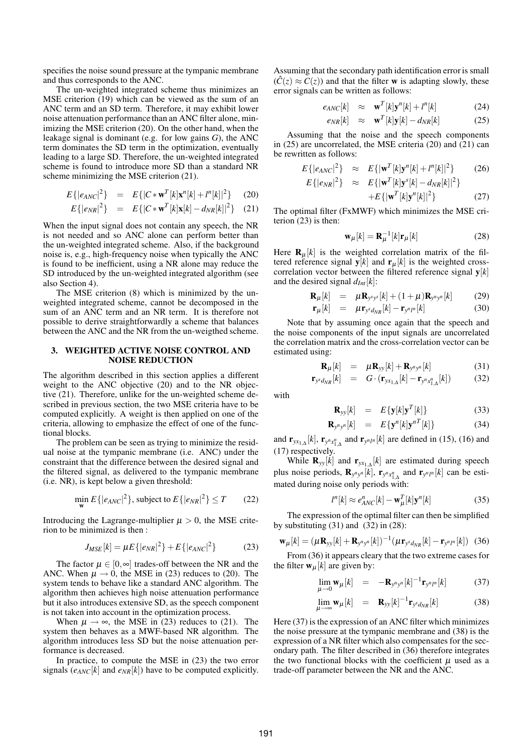specifies the noise sound pressure at the tympanic membrane and thus corresponds to the ANC.

The un-weighted integrated scheme thus minimizes an MSE criterion (19) which can be viewed as the sum of an ANC term and an SD term. Therefore, it may exhibit lower noise attenuation performance than an ANC filter alone, minimizing the MSE criterion (20). On the other hand, when the leakage signal is dominant (e.g. for low gains *G*), the ANC term dominates the SD term in the optimization, eventually leading to a large SD. Therefore, the un-weighted integrated scheme is found to introduce more SD than a standard NR scheme minimizing the MSE criterion (21).

$$
E\{|e_{ANC}|^2\} = E\{|C * \mathbf{w}^T[k] \mathbf{x}^n[k] + l^n[k]|^2\}
$$
 (20)

$$
E\{|e_{NR}|^2\} = E\{|C * \mathbf{w}^T[k]\mathbf{x}[k] - d_{NR}[k]|^2\}
$$
 (21)

When the input signal does not contain any speech, the NR is not needed and so ANC alone can perform better than the un-weighted integrated scheme. Also, if the background noise is, e.g., high-frequency noise when typically the ANC is found to be inefficient, using a NR alone may reduce the SD introduced by the un-weighted integrated algorithm (see also Section 4).

The MSE criterion (8) which is minimized by the unweighted integrated scheme, cannot be decomposed in the sum of an ANC term and an NR term. It is therefore not possible to derive straightforwardly a scheme that balances between the ANC and the NR from the un-weigthed scheme.

#### **3. WEIGHTED ACTIVE NOISE CONTROL AND NOISE REDUCTION**

The algorithm described in this section applies a different weight to the ANC objective (20) and to the NR objective (21). Therefore, unlike for the un-weighted scheme described in previous section, the two MSE criteria have to be computed explicitly. A weight is then applied on one of the criteria, allowing to emphasize the effect of one of the functional blocks.

The problem can be seen as trying to minimize the residual noise at the tympanic membrane (i.e. ANC) under the constraint that the difference between the desired signal and the filtered signal, as delivered to the tympanic membrane (i.e. NR), is kept below a given threshold:

$$
\min_{\mathbf{w}} E\{|e_{ANC}|^2\}, \text{ subject to } E\{|e_{NR}|^2\} \le T \qquad (22)
$$

Introducing the Lagrange-multiplier  $\mu > 0$ , the MSE criterion to be minimized is then :

$$
J_{MSE}[k] = \mu E\{|e_{NR}|^2\} + E\{|e_{ANC}|^2\}
$$
 (23)

The factor  $\mu \in [0, \infty]$  trades-off between the NR and the ANC. When  $\mu \rightarrow 0$ , the MSE in (23) reduces to (20). The system tends to behave like a standard ANC algorithm. The algorithm then achieves high noise attenuation performance but it also introduces extensive SD, as the speech component is not taken into account in the optimization process.

When  $\mu \rightarrow \infty$ , the MSE in (23) reduces to (21). The system then behaves as a MWF-based NR algorithm. The algorithm introduces less SD but the noise attenuation performance is decreased.

In practice, to compute the MSE in (23) the two error signals  $(e_{ANC}[k]$  and  $e_{NR}[k])$  have to be computed explicitly.

Assuming that the secondary path identification error is small  $(\hat{C}(z) \approx C(z))$  and that the filter **w** is adapting slowly, these error signals can be written as follows:

$$
e_{ANC}[k] \approx \mathbf{w}^T[k]\mathbf{y}^n[k] + l^n[k] \tag{24}
$$

$$
e_{NR}[k] \approx \mathbf{w}^T[k]\mathbf{y}[k] - d_{NR}[k] \tag{25}
$$

Assuming that the noise and the speech components in (25) are uncorrelated, the MSE criteria (20) and (21) can be rewritten as follows:

$$
E\{|e_{ANC}|^2\} \approx E\{|{\bf w}^T[k] {\bf y}^n[k] + l^n[k]|^2\}
$$
 (26)

$$
E\{|e_{NR}|^2\} \approx E\{|w^T[k]y^s[k] - d_{NR}[k]|^2\} + E\{|w^T[k]y^n[k]|^2\}
$$
 (27)

The optimal filter (FxMWF) which minimizes the MSE criterion  $(23)$  is then:

$$
\mathbf{w}_{\mu}[k] = \mathbf{R}_{\mu}^{-1}[k]\mathbf{r}_{\mu}[k] \tag{28}
$$

Here  $\mathbf{R}_{\mu}[k]$  is the weighted correlation matrix of the filtered reference signal  $\mathbf{y}[k]$  and  $\mathbf{r}_{\mu}[k]$  is the weighted crosscorrelation vector between the filtered reference signal **y**[*k*] and the desired signal  $d_{Int}[k]$ :

$$
\mathbf{R}_{\mu}[k] = \mu \mathbf{R}_{y^s y^s}[k] + (1 + \mu) \mathbf{R}_{y^s y^s}[k] \tag{29}
$$

$$
\mathbf{r}_{\mu}[k] = \mu \mathbf{r}_{y^{s} d_{NR}}[k] - \mathbf{r}_{y^{n} l^{n}}[k] \qquad (30)
$$

Note that by assuming once again that the speech and the noise components of the input signals are uncorrelated the correlation matrix and the cross-correlation vector can be estimated using:

$$
\mathbf{R}_{\mu}[k] = \mu \mathbf{R}_{yy}[k] + \mathbf{R}_{y^n y^n}[k] \tag{31}
$$

$$
\mathbf{r}_{y^{s}d_{NR}}[k] = G \cdot (\mathbf{r}_{yx_{1,\Delta}}[k] - \mathbf{r}_{y^{n}x_{1,\Delta}^{n}}[k]) \tag{32}
$$

with

$$
\mathbf{R}_{yy}[k] = E\{\mathbf{y}[k]\mathbf{y}^T[k]\} \tag{33}
$$

$$
\mathbf{R}_{y^n y^n}[k] = E\{\mathbf{y}^n[k]\mathbf{y}^{nT}[k]\} \tag{34}
$$

and  $\mathbf{r}_{yx_{1,\Delta}}[k]$ ,  $\mathbf{r}_{y^nx_{1,\Delta}^n}$  and  $\mathbf{r}_{y^ny^n}[k]$  are defined in (15), (16) and (17) respectively.

While  $\mathbf{R}_{yy}[k]$  and  $\mathbf{r}_{yx_1,\Delta}[k]$  are estimated during speech plus noise periods,  $\mathbf{R}_{y^n y^n} [k]$ ,  $\mathbf{r}_{y^n x_{1,\Delta}^n}$  and  $\mathbf{r}_{y^n l^n} [k]$  can be estimated during noise only periods with:

$$
l^{n}[k] \approx e_{ANC}^{n}[k] - \mathbf{w}_{\mu}^{T}[k] \mathbf{y}^{n}[k]
$$
 (35)

The expression of the optimal filter can then be simplified by substituting  $(31)$  and  $(32)$  in  $(28)$ :

$$
\mathbf{w}_{\mu}[k] = (\mu \mathbf{R}_{yy}[k] + \mathbf{R}_{y^n y^n}[k])^{-1} (\mu \mathbf{r}_{y^s d_{NR}}[k] - \mathbf{r}_{y^n l^n}[k]) \tag{36}
$$

From (36) it appears cleary that the two extreme cases for the filter  $\mathbf{w}_{\mu}[k]$  are given by:

$$
\lim_{\mu \to 0} \mathbf{w}_{\mu}[k] = -\mathbf{R}_{y^n y^n}[k]^{-1} \mathbf{r}_{y^n l^n}[k] \tag{37}
$$

$$
\lim_{\mu \to \infty} \mathbf{w}_{\mu}[k] = \mathbf{R}_{yy}[k]^{-1} \mathbf{r}_{y^s d_{NR}}[k] \tag{38}
$$

Here (37) is the expression of an ANC filter which minimizes the noise pressure at the tympanic membrane and (38) is the expression of a NR filter which also compensates for the secondary path. The filter described in (36) therefore integrates the two functional blocks with the coefficient  $\mu$  used as a trade-off parameter between the NR and the ANC.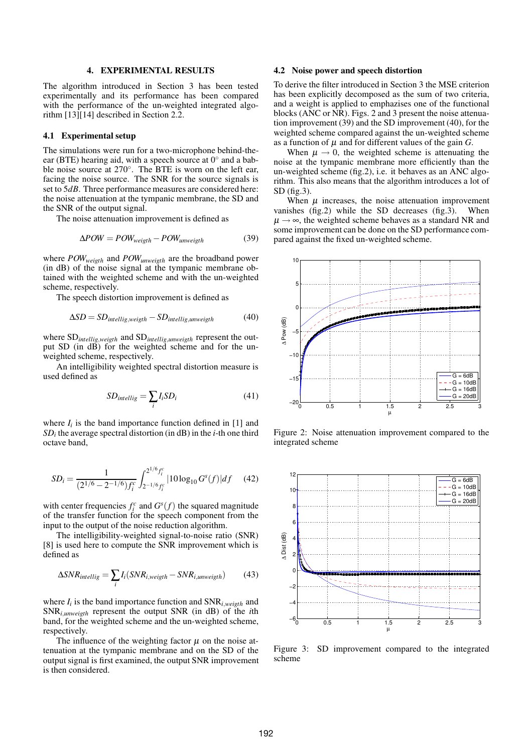#### **4. EXPERIMENTAL RESULTS**

The algorithm introduced in Section 3 has been tested experimentally and its performance has been compared with the performance of the un-weighted integrated algorithm [13][14] described in Section 2.2.

#### **4.1 Experimental setup**

The simulations were run for a two-microphone behind-theear (BTE) hearing aid, with a speech source at  $0^{\circ}$  and a babble noise source at 270◦ . The BTE is worn on the left ear, facing the noise source. The SNR for the source signals is set to 5*dB*. Three performance measures are considered here: the noise attenuation at the tympanic membrane, the SD and the SNR of the output signal.

The noise attenuation improvement is defined as

$$
\Delta POW = POW_{weight} - POW_{unweight} \tag{39}
$$

where *POWweigth* and *POWunweigth* are the broadband power (in dB) of the noise signal at the tympanic membrane obtained with the weighted scheme and with the un-weighted scheme, respectively.

The speech distortion improvement is defined as

$$
\Delta SD = SD_{intellig, weight} - SD_{intellig, unweight} \tag{40}
$$

where SD*intellig*,*weigth* and SD*intellig*,*unweigth* represent the output SD (in dB) for the weighted scheme and for the unweighted scheme, respectively.

An intelligibility weighted spectral distortion measure is used defined as

$$
SD_{intellig} = \sum_{i} I_{i} SD_{i}
$$
 (41)

where  $I_i$  is the band importance function defined in [1] and *SD<sup>i</sup>* the average spectral distortion (in dB) in the *i*-th one third octave band,

$$
SD_i = \frac{1}{(2^{1/6} - 2^{-1/6})f_i^c} \int_{2^{-1/6}f_i^c}^{2^{1/6}f_i^c} |10\log_{10} G^s(f)| df \quad (42)
$$

with center frequencies  $f_i^c$  and  $G^s(f)$  the squared magnitude of the transfer function for the speech component from the input to the output of the noise reduction algorithm.

The intelligibility-weighted signal-to-noise ratio (SNR) [8] is used here to compute the SNR improvement which is defined as

$$
\Delta SNR_{intellig} = \sum_{i} I_{i}(SNR_{i,weight} - SNR_{i,unweight})
$$
 (43)

where  $I_i$  is the band importance function and  $\text{SNR}_{i,weight}$  and SNR*i*,*unweigth* represent the output SNR (in dB) of the *i*th band, for the weighted scheme and the un-weighted scheme, respectively.

The influence of the weighting factor  $\mu$  on the noise attenuation at the tympanic membrane and on the SD of the output signal is first examined, the output SNR improvement is then considered.

## **4.2 Noise power and speech distortion**

To derive the filter introduced in Section 3 the MSE criterion has been explicitly decomposed as the sum of two criteria, and a weight is applied to emphazises one of the functional blocks (ANC or NR). Figs. 2 and 3 present the noise attenuation improvement (39) and the SD improvement (40), for the weighted scheme compared against the un-weighted scheme as a function of  $\mu$  and for different values of the gain *G*.

When  $\mu \rightarrow 0$ , the weighted scheme is attenuating the noise at the tympanic membrane more efficiently than the un-weighted scheme (fig.2), i.e. it behaves as an ANC algorithm. This also means that the algorithm introduces a lot of SD (fig.3).

When  $\mu$  increases, the noise attenuation improvement vanishes (fig.2) while the SD decreases (fig.3). When  $\mu \rightarrow \infty$ , the weighted scheme behaves as a standard NR and some improvement can be done on the SD performance compared against the fixed un-weighted scheme.



Figure 2: Noise attenuation improvement compared to the integrated scheme



Figure 3: SD improvement compared to the integrated scheme